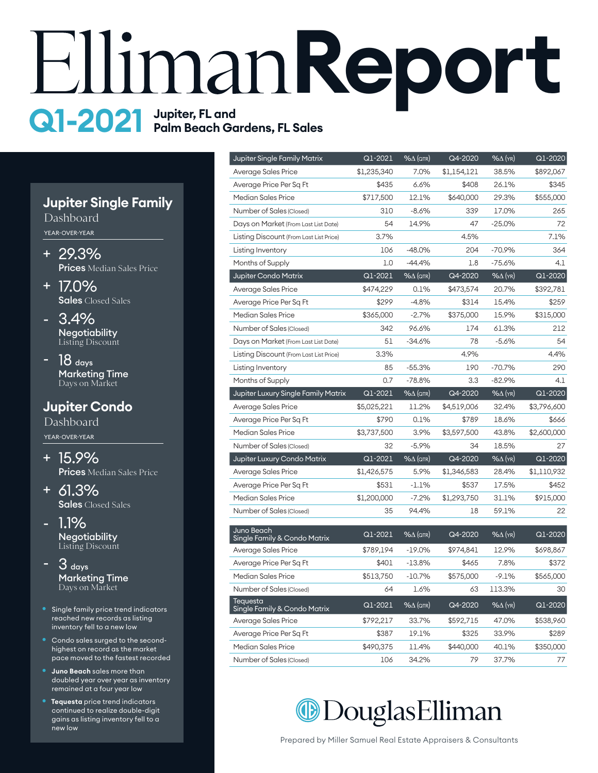# **HimanReport Q1-2021** Jupiter, FL and<br>Palm Beach Gardens, FL Sales

## **Jupiter Single Family**

Dashboard YEAR-OVER-YEAR

- 29.3% + Prices Median Sales Price
- 17.0% + Sales Closed Sales
- 3.4% Negotiability Listing Discount -
- 18 days Marketing Time Days on Market -

# **Jupiter Condo**

Dashboard YEAR-OVER-YEAR

15.9% + Prices Median Sales Price

61.3% + **Sales** Closed Sales

- 1.1% Negotiability Listing Discount -
- 3 days Marketing Time Days on Market -
- Single family price trend indicators reached new records as listing inventory fell to a new low
- Condo sales surged to the secondhighest on record as the market pace moved to the fastest recorded
- **Juno Beach** sales more than doubled year over year as inventory remained at a four year low
- **Tequesta** price trend indicators continued to realize double-digit gains as listing inventory fell to a new low

| Jupiter Single Family Matrix                    | Q1-2021     | <u>%∆</u> (QTR)              | Q4-2020     | %∆ (YR)                   | Q1-2020     |
|-------------------------------------------------|-------------|------------------------------|-------------|---------------------------|-------------|
| Average Sales Price                             | \$1,235,340 | 7.0%                         | \$1,154,121 | 38.5%                     | \$892,067   |
| Average Price Per Sq Ft                         | \$435       | 6.6%                         | \$408       | 26.1%                     | \$345       |
| Median Sales Price                              | \$717,500   | 12.1%                        | \$640,000   | 29.3%                     | \$555,000   |
| Number of Sales (Closed)                        | 310         | $-8.6%$                      | 339         | 17.0%                     | 265         |
| Days on Market (From Last List Date)            | 54          | 14.9%                        | 47          | $-25.0%$                  | 72          |
| Listing Discount (From Last List Price)         | 3.7%        |                              | 4.5%        |                           | 7.1%        |
| Listing Inventory                               | 106         | $-48.0\%$                    | 204         | $-70.9%$                  | 364         |
| Months of Supply                                | 1.0         | $-44.4%$                     | 1.8         | $-75.6%$                  | 4.1         |
| Jupiter Condo Matrix                            | Q1-2021     | $% \triangle (QTR)$          | Q4-2020     | %∆ (YR)                   | Q1-2020     |
| Average Sales Price                             | \$474,229   | 0.1%                         | \$473,574   | 20.7%                     | \$392,781   |
| Average Price Per Sq Ft                         | \$299       | $-4.8%$                      | \$314       | 15.4%                     | \$259       |
| <b>Median Sales Price</b>                       | \$365,000   | $-2.7%$                      | \$375,000   | 15.9%                     | \$315,000   |
| Number of Sales (Closed)                        | 342         | 96.6%                        | 174         | 61.3%                     | 212         |
| Days on Market (From Last List Date)            | 51          | $-34.6%$                     | 78          | $-5.6%$                   | 54          |
| Listing Discount (From Last List Price)         | 3.3%        |                              | 4.9%        |                           | 4.4%        |
| Listing Inventory                               | 85          | $-55.3%$                     | 190         | $-70.7%$                  | 290         |
| Months of Supply                                | 0.7         | $-78.8%$                     | 3.3         | $-82.9%$                  | 4.1         |
| Jupiter Luxury Single Family Matrix             | Q1-2021     | $\frac{96\Delta}{\sqrt{27}}$ | Q4-2020     | $% \Delta$ (yr)           | Q1-2020     |
| Average Sales Price                             | \$5,025,221 | 11.2%                        | \$4,519,006 | 32.4%                     | \$3,796,600 |
| Average Price Per Sq Ft                         | \$790       | 0.1%                         | \$789       | 18.6%                     | \$666       |
| <b>Median Sales Price</b>                       | \$3,737,500 | 3.9%                         | \$3,597,500 | 43.8%                     | \$2,600,000 |
| Number of Sales (Closed)                        | 32          | $-5.9%$                      | 34          | 18.5%                     | 27          |
| Jupiter Luxury Condo Matrix                     | Q1-2021     | $% \triangle (QTR)$          | Q4-2020     | $\frac{96\Delta}{K}$ (YR) | $Q1 - 2020$ |
| Average Sales Price                             | \$1,426,575 | 5.9%                         | \$1,346,583 | 28.4%                     | \$1,110,932 |
| Average Price Per Sq Ft                         | \$531       | $-1.1%$                      | \$537       | 17.5%                     | \$452       |
| <b>Median Sales Price</b>                       | \$1,200,000 | $-7.2%$                      | \$1,293,750 | 31.1%                     | \$915,000   |
| Number of Sales (Closed)                        | 35          | 94.4%                        | 18          | 59.1%                     | 22          |
| Juno Beach                                      |             |                              |             |                           |             |
| Single Family & Condo Matrix                    | Q1-2021     | $%$ $\Delta$ (QTR)           | Q4-2020     | $% \Delta$ (YR)           | Q1-2020     |
| Average Sales Price                             | \$789,194   | $-19.0\%$                    | \$974,841   | 12.9%                     | \$698,867   |
| Average Price Per Sq Ft                         | \$401       | $-13.8%$                     | \$465       | 7.8%                      | \$372       |
| <b>Median Sales Price</b>                       | \$513,750   | $-10.7%$                     | \$575,000   | $-9.1%$                   | \$565,000   |
| Number of Sales (Closed)                        | 64          | 1.6%                         | 63          | 113.3%                    | 30          |
| <b>Tequesta</b><br>Single Family & Condo Matrix | Q1-2021     | $%$ $\Delta$ (QTR)           | Q4-2020     | $% \Delta$ (YR)           | Q1-2020     |
| Average Sales Price                             | \$792,217   | 33.7%                        | \$592,715   | 47.0%                     | \$538,960   |
| Average Price Per Sq Ft                         | \$387       | 19.1%                        | \$325       | 33.9%                     | \$289       |
| <b>Median Sales Price</b>                       | \$490,375   | 11.4%                        | \$440,000   | 40.1%                     | \$350,000   |
| Number of Sales (Closed)                        | 106         | 34.2%                        | 79          | 37.7%                     | 77          |